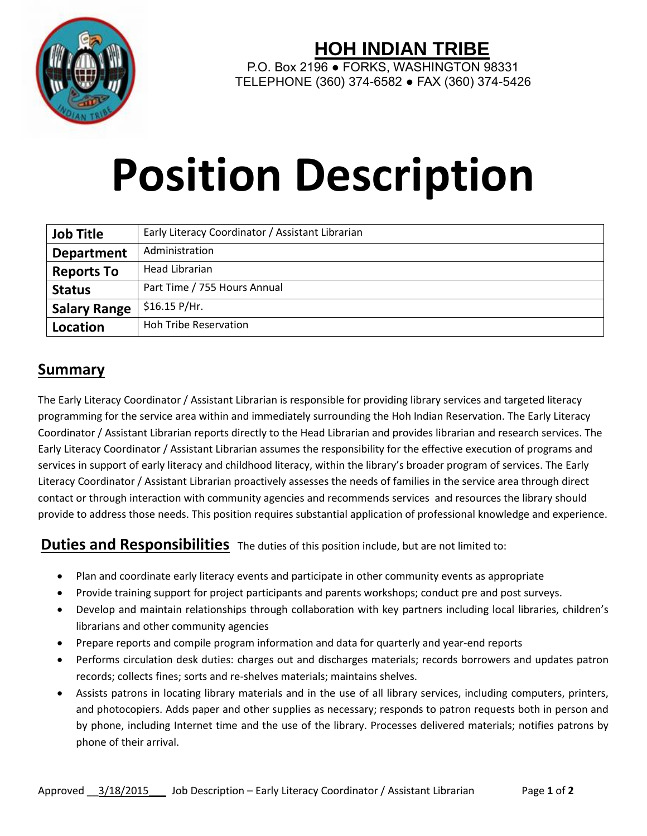

## **HOH INDIAN TRIBE**

P.O. Box 2196 · FORKS, WASHINGTON 98331 TELEPHONE (360) 374-6582 ● FAX (360) 374-5426

# **Position Description**

| <b>Job Title</b>    | Early Literacy Coordinator / Assistant Librarian |
|---------------------|--------------------------------------------------|
| <b>Department</b>   | Administration                                   |
| <b>Reports To</b>   | Head Librarian                                   |
| <b>Status</b>       | Part Time / 755 Hours Annual                     |
| <b>Salary Range</b> | \$16.15 P/Hr.                                    |
| Location            | <b>Hoh Tribe Reservation</b>                     |

### **Summary**

The Early Literacy Coordinator / Assistant Librarian is responsible for providing library services and targeted literacy programming for the service area within and immediately surrounding the Hoh Indian Reservation. The Early Literacy Coordinator / Assistant Librarian reports directly to the Head Librarian and provides librarian and research services. The Early Literacy Coordinator / Assistant Librarian assumes the responsibility for the effective execution of programs and services in support of early literacy and childhood literacy, within the library's broader program of services. The Early Literacy Coordinator / Assistant Librarian proactively assesses the needs of families in the service area through direct contact or through interaction with community agencies and recommends services and resources the library should provide to address those needs. This position requires substantial application of professional knowledge and experience.

**Duties and Responsibilities** The duties of this position include, but are not limited to:

- Plan and coordinate early literacy events and participate in other community events as appropriate
- Provide training support for project participants and parents workshops; conduct pre and post surveys.
- Develop and maintain relationships through collaboration with key partners including local libraries, children's librarians and other community agencies
- Prepare reports and compile program information and data for quarterly and year-end reports
- Performs circulation desk duties: charges out and discharges materials; records borrowers and updates patron records; collects fines; sorts and re-shelves materials; maintains shelves.
- Assists patrons in locating library materials and in the use of all library services, including computers, printers, and photocopiers. Adds paper and other supplies as necessary; responds to patron requests both in person and by phone, including Internet time and the use of the library. Processes delivered materials; notifies patrons by phone of their arrival.